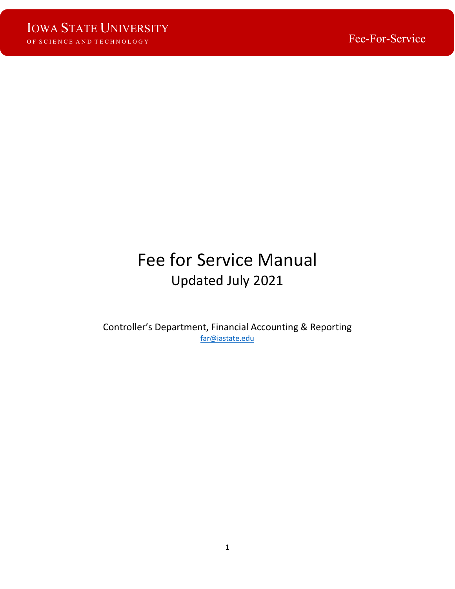# Fee for Service Manual Updated July 2021

Controller's Department, Financial Accounting & Reporting [far@iastate.edu](mailto:far@iastate.edu)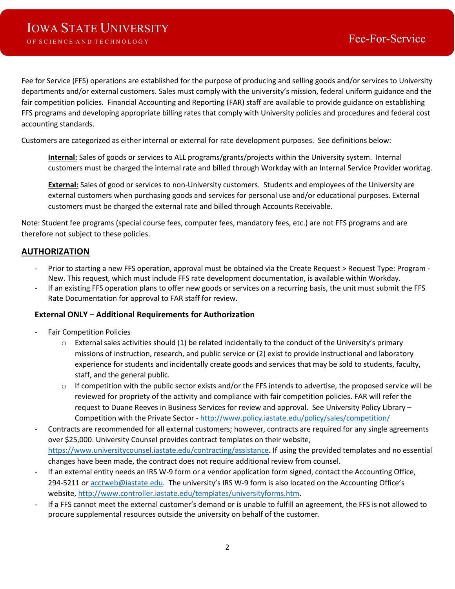Fee for Service (FFS) operations are established for the purpose of producing and selling goods and/or services to University departments and/or external customers. Sales must comply with the university's mission, federal uniform guidance and the fair competition policies. Financial Accounting and Reporting (FAR) staff are available to provide guidance on establishing FFS programs and developing appropriate billing rates that comply with University policies and procedures and federal cost accounting standards.

Customers are categorized as either internal or external for rate development purposes. See definitions below:

**Internal:** Sales of goods or services to ALL programs/grants/projects within the University system. Internal customers must be charged the internal rate and billed through Workday with an Internal Service Provider worktag.

**External:** Sales of good or services to non-University customers. Students and employees of the University are external customers when purchasing goods and services for personal use and/or educational purposes. External customers must be charged the external rate and billed through Accounts Receivable.

Note: Student fee programs (special course fees, computer fees, mandatory fees, etc.) are not FFS programs and are therefore not subject to these policies.

### **AUTHORIZATION**

- Prior to starting a new FFS operation, approval must be obtained via the Create Request > Request Type: Program New. This request, which must include FFS rate development documentation, is available within Workday.
- If an existing FFS operation plans to offer new goods or services on a recurring basis, the unit must submit the FFS Rate Documentation for approval to FAR staff for review.

### **External ONLY – Additional Requirements for Authorization**

- Fair Competition Policies
	- $\circ$  External sales activities should (1) be related incidentally to the conduct of the University's primary missions of instruction, research, and public service or (2) exist to provide instructional and laboratory experience for students and incidentally create goods and services that may be sold to students, faculty, staff, and the general public.
	- $\circ$  If competition with the public sector exists and/or the FFS intends to advertise, the proposed service will be reviewed for propriety of the activity and compliance with fair competition policies. FAR will refer the request to Duane Reeves in Business Services for review and approval. See University Policy Library – Competition with the Private Sector [- http://www.policy.iastate.edu/policy/sales/competition/](http://www.policy.iastate.edu/policy/sales/competition/)
- Contracts are recommended for all external customers; however, contracts are required for any single agreements over \$25,000. University Counsel provides contract templates on their website, [https://www.universitycounsel.iastate.edu/contracting/assistance.](https://www.universitycounsel.iastate.edu/contracting/assistance) If using the provided templates and no essential changes have been made, the contract does not require additional review from counsel.
- If an external entity needs an IRS W-9 form or a vendor application form signed, contact the Accounting Office, 294-5211 or [acctweb@iastate.edu.](mailto:acctweb@iastate.edu) The university's IRS W-9 form is also located on the Accounting Office's website, [http://www.controller.iastate.edu/templates/universityforms.htm.](http://www.controller.iastate.edu/templates/universityforms.htm)
- If a FFS cannot meet the external customer's demand or is unable to fulfill an agreement, the FFS is not allowed to procure supplemental resources outside the university on behalf of the customer.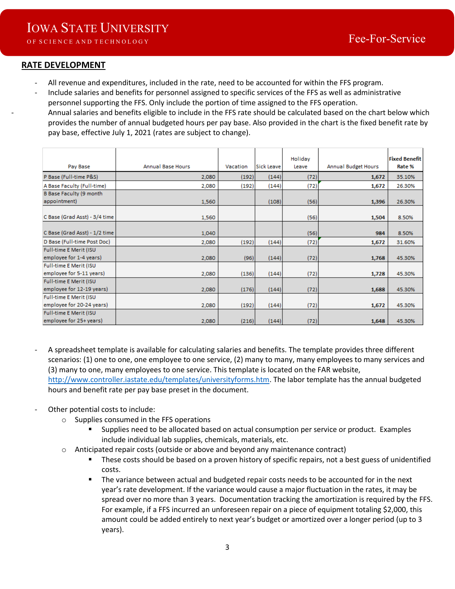Rate %

### **RATE DEVELOPMENT**

- All revenue and expenditures, included in the rate, need to be accounted for within the FFS program.
- Include salaries and benefits for personnel assigned to specific services of the FFS as well as administrative personnel supporting the FFS. Only include the portion of time assigned to the FFS operation. - Annual salaries and benefits eligible to include in the FFS rate should be calculated based on the chart below which provides the number of annual budgeted hours per pay base. Also provided in the chart is the fixed benefit rate by

pay base, effective July 1, 2021 (rates are subject to change). Holiday **Fixed Benefit** Pay Base **Annual Base Hours** Vacation Sick Leave Annual Budget Hours Leave

| P Base (Full-time P&S)        | 2,080 | (192) | (144) | (72) | 1,672 | 35.10% |
|-------------------------------|-------|-------|-------|------|-------|--------|
| A Base Faculty (Full-time)    | 2,080 | (192) | (144) | (72) | 1,672 | 26.30% |
| B Base Faculty (9 month       |       |       |       |      |       |        |
| appointment)                  | 1,560 |       | (108) | (56) | 1,396 | 26.30% |
|                               |       |       |       |      |       |        |
| C Base (Grad Asst) - 3/4 time | 1,560 |       |       | (56) | 1,504 | 8.50%  |
|                               |       |       |       |      |       |        |
| C Base (Grad Asst) - 1/2 time | 1,040 |       |       | (56) | 984   | 8.50%  |
| D Base (Full-time Post Doc)   | 2,080 | (192) | (144) | (72) | 1,672 | 31.60% |
| Full-time E Merit (ISU        |       |       |       |      |       |        |
| employee for 1-4 years)       | 2,080 | (96)  | (144) | (72) | 1,768 | 45.30% |
| Full-time E Merit (ISU        |       |       |       |      |       |        |
| employee for 5-11 years)      | 2,080 | (136) | (144) | (72) | 1,728 | 45.30% |
| Full-time E Merit (ISU        |       |       |       |      |       |        |
| employee for 12-19 years)     | 2,080 | (176) | (144) | (72) | 1,688 | 45.30% |
| Full-time E Merit (ISU        |       |       |       |      |       |        |
| employee for 20-24 years)     | 2,080 | (192) | (144) | (72) | 1,672 | 45.30% |
| Full-time E Merit (ISU        |       |       |       |      |       |        |
| employee for 25+ years)       | 2,080 | (216) | (144) | (72) | 1,648 | 45.30% |

- A spreadsheet template is available for calculating salaries and benefits. The template provides three different scenarios: (1) one to one, one employee to one service, (2) many to many, many employees to many services and (3) many to one, many employees to one service. This template is located on the FAR website, [http://www.controller.iastate.edu/templates/universityforms.htm.](http://www.controller.iastate.edu/templates/universityforms.htm) The labor template has the annual budgeted hours and benefit rate per pay base preset in the document.
- Other potential costs to include:
	- o Supplies consumed in the FFS operations
		- Supplies need to be allocated based on actual consumption per service or product. Examples include individual lab supplies, chemicals, materials, etc.
	- o Anticipated repair costs (outside or above and beyond any maintenance contract)
		- These costs should be based on a proven history of specific repairs, not a best guess of unidentified costs.
		- The variance between actual and budgeted repair costs needs to be accounted for in the next year's rate development. If the variance would cause a major fluctuation in the rates, it may be spread over no more than 3 years. Documentation tracking the amortization is required by the FFS. For example, if a FFS incurred an unforeseen repair on a piece of equipment totaling \$2,000, this amount could be added entirely to next year's budget or amortized over a longer period (up to 3 years).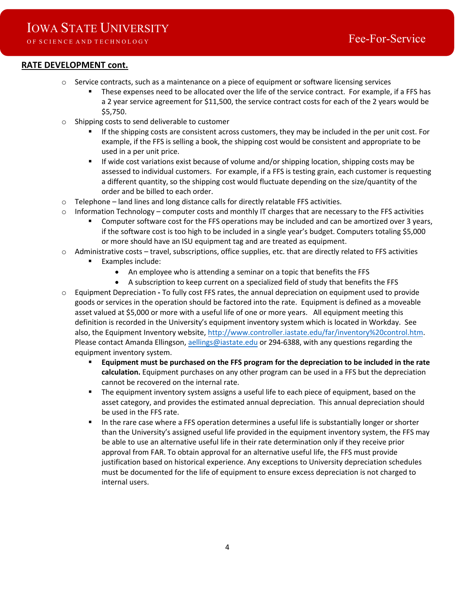### **RATE DEVELOPMENT cont.**

- o Service contracts, such as a maintenance on a piece of equipment or software licensing services
	- These expenses need to be allocated over the life of the service contract. For example, if a FFS has a 2 year service agreement for \$11,500, the service contract costs for each of the 2 years would be \$5,750.
- o Shipping costs to send deliverable to customer
	- If the shipping costs are consistent across customers, they may be included in the per unit cost. For example, if the FFS is selling a book, the shipping cost would be consistent and appropriate to be used in a per unit price.
	- If wide cost variations exist because of volume and/or shipping location, shipping costs may be assessed to individual customers. For example, if a FFS is testing grain, each customer is requesting a different quantity, so the shipping cost would fluctuate depending on the size/quantity of the order and be billed to each order.
- $\circ$  Telephone land lines and long distance calls for directly relatable FFS activities.
- $\circ$  Information Technology computer costs and monthly IT charges that are necessary to the FFS activities
	- Computer software cost for the FFS operations may be included and can be amortized over 3 years, if the software cost is too high to be included in a single year's budget. Computers totaling \$5,000 or more should have an ISU equipment tag and are treated as equipment.
- $\circ$  Administrative costs travel, subscriptions, office supplies, etc. that are directly related to FFS activities
	- Examples include:
		- An employee who is attending a seminar on a topic that benefits the FFS
		- A subscription to keep current on a specialized field of study that benefits the FFS
- o Equipment Depreciation To fully cost FFS rates, the annual depreciation on equipment used to provide goods or services in the operation should be factored into the rate. Equipment is defined as a moveable asset valued at \$5,000 or more with a useful life of one or more years. All equipment meeting this definition is recorded in the University's equipment inventory system which is located in Workday. See also, the Equipment Inventory website, [http://www.controller.iastate.edu/far/inventory%20control.htm.](http://www.controller.iastate.edu/far/inventory%20control.htm) Please contact Amanda Ellingson, aellings[@iastate.edu](mailto:twacha@iastate.edu) or 294-6388, with any questions regarding the equipment inventory system.
	- **Equipment must be purchased on the FFS program for the depreciation to be included in the rate calculation.** Equipment purchases on any other program can be used in a FFS but the depreciation cannot be recovered on the internal rate.
	- The equipment inventory system assigns a useful life to each piece of equipment, based on the asset category, and provides the estimated annual depreciation. This annual depreciation should be used in the FFS rate.
	- In the rare case where a FFS operation determines a useful life is substantially longer or shorter than the University's assigned useful life provided in the equipment inventory system, the FFS may be able to use an alternative useful life in their rate determination only if they receive prior approval from FAR. To obtain approval for an alternative useful life, the FFS must provide justification based on historical experience. Any exceptions to University depreciation schedules must be documented for the life of equipment to ensure excess depreciation is not charged to internal users.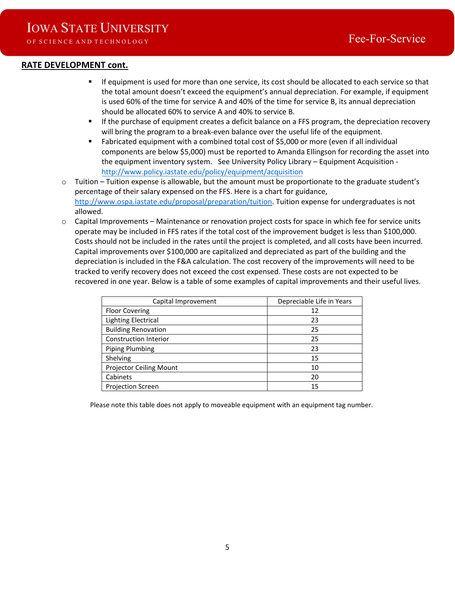### **RATE DEVELOPMENT cont.**

- If equipment is used for more than one service, its cost should be allocated to each service so that the total amount doesn't exceed the equipment's annual depreciation. For example, if equipment is used 60% of the time for service A and 40% of the time for service B, its annual depreciation should be allocated 60% to service A and 40% to service B.
- If the purchase of equipment creates a deficit balance on a FFS program, the depreciation recovery will bring the program to a break-even balance over the useful life of the equipment.
- Fabricated equipment with a combined total cost of \$5,000 or more (even if all individual components are below \$5,000) must be reported to Amanda Ellingson for recording the asset into the equipment inventory system. See University Policy Library – Equipment Acquisition <http://www.policy.iastate.edu/policy/equipment/acquisition>
- $\circ$  Tuition Tuition expense is allowable, but the amount must be proportionate to the graduate student's percentage of their salary expensed on the FFS. Here is a chart for guidance, [http://www.ospa.iastate.edu/proposal/preparation/tuition.](http://www.ospa.iastate.edu/proposal/preparation/tuition) Tuition expense for undergraduates is not allowed.
- $\circ$  Capital Improvements Maintenance or renovation project costs for space in which fee for service units operate may be included in FFS rates if the total cost of the improvement budget is less than \$100,000. Costs should not be included in the rates until the project is completed, and all costs have been incurred. Capital improvements over \$100,000 are capitalized and depreciated as part of the building and the depreciation is included in the F&A calculation. The cost recovery of the improvements will need to be tracked to verify recovery does not exceed the cost expensed. These costs are not expected to be recovered in one year. Below is a table of some examples of capital improvements and their useful lives.

| Capital Improvement            | Depreciable Life in Years |
|--------------------------------|---------------------------|
| <b>Floor Covering</b>          | 12                        |
| <b>Lighting Electrical</b>     | 23                        |
| <b>Building Renovation</b>     | 25                        |
| Construction Interior          | 25                        |
| <b>Piping Plumbing</b>         | 23                        |
| Shelving                       | 15                        |
| <b>Projector Ceiling Mount</b> | 10                        |
| Cabinets                       | 20                        |
| <b>Projection Screen</b>       | 15                        |

Please note this table does not apply to moveable equipment with an equipment tag number.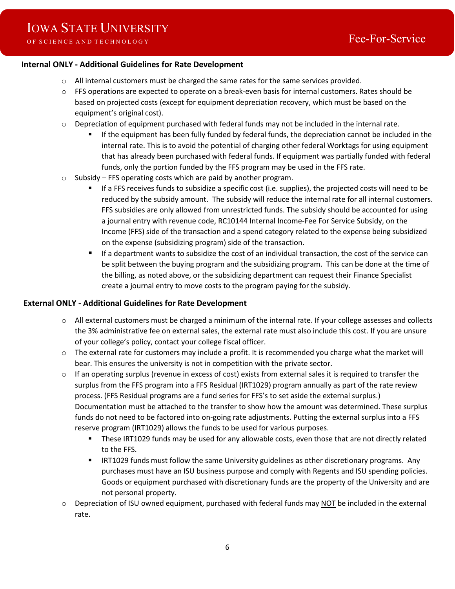### **Internal ONLY - Additional Guidelines for Rate Development**

- $\circ$  All internal customers must be charged the same rates for the same services provided.
- $\circ$  FFS operations are expected to operate on a break-even basis for internal customers. Rates should be based on projected costs (except for equipment depreciation recovery, which must be based on the equipment's original cost).
- $\circ$  Depreciation of equipment purchased with federal funds may not be included in the internal rate.
	- If the equipment has been fully funded by federal funds, the depreciation cannot be included in the internal rate. This is to avoid the potential of charging other federal Worktags for using equipment that has already been purchased with federal funds. If equipment was partially funded with federal funds, only the portion funded by the FFS program may be used in the FFS rate.
- o Subsidy FFS operating costs which are paid by another program.
	- If a FFS receives funds to subsidize a specific cost (i.e. supplies), the projected costs will need to be reduced by the subsidy amount. The subsidy will reduce the internal rate for all internal customers. FFS subsidies are only allowed from unrestricted funds. The subsidy should be accounted for using a journal entry with revenue code, RC10144 Internal Income-Fee For Service Subsidy, on the Income (FFS) side of the transaction and a spend category related to the expense being subsidized on the expense (subsidizing program) side of the transaction.
	- If a department wants to subsidize the cost of an individual transaction, the cost of the service can be split between the buying program and the subsidizing program. This can be done at the time of the billing, as noted above, or the subsidizing department can request their Finance Specialist create a journal entry to move costs to the program paying for the subsidy.

#### **External ONLY - Additional Guidelines for Rate Development**

- o All external customers must be charged a minimum of the internal rate. If your college assesses and collects the 3% administrative fee on external sales, the external rate must also include this cost. If you are unsure of your college's policy, contact your college fiscal officer.
- $\circ$  The external rate for customers may include a profit. It is recommended you charge what the market will bear. This ensures the university is not in competition with the private sector.
- o If an operating surplus (revenue in excess of cost) exists from external sales it is required to transfer the surplus from the FFS program into a FFS Residual (IRT1029) program annually as part of the rate review process. (FFS Residual programs are a fund series for FFS's to set aside the external surplus.) Documentation must be attached to the transfer to show how the amount was determined. These surplus funds do not need to be factored into on-going rate adjustments. Putting the external surplus into a FFS reserve program (IRT1029) allows the funds to be used for various purposes.
	- These IRT1029 funds may be used for any allowable costs, even those that are not directly related to the FFS.
	- **IRT1029 funds must follow the same University guidelines as other discretionary programs. Any** purchases must have an ISU business purpose and comply with Regents and ISU spending policies. Goods or equipment purchased with discretionary funds are the property of the University and are not personal property.
- $\circ$  Depreciation of ISU owned equipment, purchased with federal funds may NOT be included in the external rate.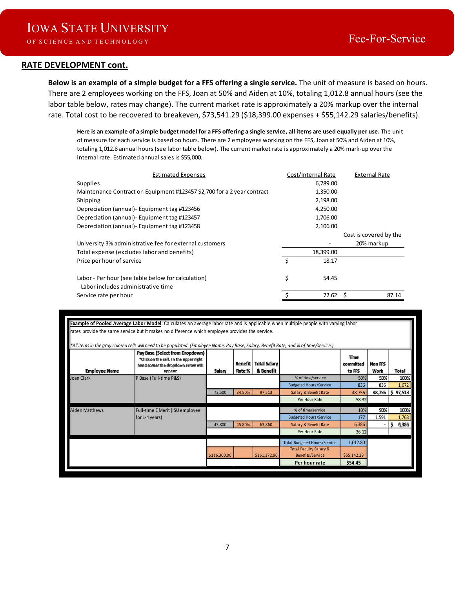### **RATE DEVELOPMENT cont.**

**Below is an example of a simple budget for a FFS offering a single service.** The unit of measure is based on hours. There are 2 employees working on the FFS, Joan at 50% and Aiden at 10%, totaling 1,012.8 annual hours (see the labor table below, rates may change). The current market rate is approximately a 20% markup over the internal rate. Total cost to be recovered to breakeven, \$73,541.29 (\$18,399.00 expenses + \$55,142.29 salaries/benefits).

**Here is an example of a simple budget model for a FFS offering a single service, all items are used equally per use.** The unit of measure for each service is based on hours. There are 2 employees working on the FFS, Joan at 50% and Aiden at 10%, totaling 1,012.8 annual hours (see labor table below). The current market rate is approximately a 20% mark-up over the internal rate. Estimated annual sales is \$55,000.

| <b>Estimated Expenses</b>                                                                | Cost/Internal Rate | <b>External Rate</b>   |
|------------------------------------------------------------------------------------------|--------------------|------------------------|
| <b>Supplies</b>                                                                          | 6,789.00           |                        |
| Maintenance Contract on Equipment #123457 \$2,700 for a 2 year contract                  | 1,350.00           |                        |
| Shipping                                                                                 | 2,198.00           |                        |
| Depreciation (annual) - Equipment tag #123456                                            | 4,250.00           |                        |
| Depreciation (annual) - Equipment tag #123457                                            | 1,706.00           |                        |
| Depreciation (annual) - Equipment tag #123458                                            | 2,106.00           |                        |
|                                                                                          |                    | Cost is covered by the |
| University 3% administrative fee for external customers                                  |                    | 20% markup             |
| Total expense (excludes labor and benefits)                                              | 18,399.00          |                        |
| Price per hour of service                                                                | \$<br>18.17        |                        |
| Labor - Per hour (see table below for calculation)<br>Labor includes administrative time | \$<br>54.45        |                        |
| Service rate per hour                                                                    | 72.62              | 87.14                  |
|                                                                                          |                    |                        |

| rates provide the same service but it makes no difference which employee provides the service.<br>*All items in the gray colored cells will need to be populated. (Employee Name, Pay Base, Salary, Benefit Rate, and % of time/service.)<br>Pay Base (Select from Dropdown)<br><b>Time</b><br>*Click on the cell, in the upper right<br>Benefit<br><b>Total Salary</b><br>committed<br>Non FFS<br>hand corner the dropdown arrow will<br><b>Employee Name</b><br>Salary<br>& Benefit<br>Rate %<br>to FFS<br>Work<br>appear.<br>P Base (Full-time P&S)<br>Joan Clark<br>% of time/service<br>50%<br>50%<br>836<br><b>Budgeted Hours/Service</b><br>836<br>48,756<br>34.50%<br>Salary & Benefit Rate<br>72,500<br>97,513<br>48,756<br>58.32<br>Per Hour Rate<br><b>Aiden Matthews</b><br>Full-time E Merit (ISU employee<br>% of time/service<br>10%<br>90%<br>177<br>for 1-4 years)<br><b>Budgeted Hours/Service</b><br>1,591<br>45.80%<br>Salary & Benefit Rate<br>6,386<br>43.800<br>63.860<br>Per Hour Rate<br>36.12 |                                                                                                                                   |  |  |  |  |                                     |          |  |               |  |
|-------------------------------------------------------------------------------------------------------------------------------------------------------------------------------------------------------------------------------------------------------------------------------------------------------------------------------------------------------------------------------------------------------------------------------------------------------------------------------------------------------------------------------------------------------------------------------------------------------------------------------------------------------------------------------------------------------------------------------------------------------------------------------------------------------------------------------------------------------------------------------------------------------------------------------------------------------------------------------------------------------------------------|-----------------------------------------------------------------------------------------------------------------------------------|--|--|--|--|-------------------------------------|----------|--|---------------|--|
|                                                                                                                                                                                                                                                                                                                                                                                                                                                                                                                                                                                                                                                                                                                                                                                                                                                                                                                                                                                                                         | Example of Pooled Average Labor Model: Calculates an average labor rate and is applicable when multiple people with varying labor |  |  |  |  |                                     |          |  |               |  |
|                                                                                                                                                                                                                                                                                                                                                                                                                                                                                                                                                                                                                                                                                                                                                                                                                                                                                                                                                                                                                         |                                                                                                                                   |  |  |  |  |                                     |          |  |               |  |
|                                                                                                                                                                                                                                                                                                                                                                                                                                                                                                                                                                                                                                                                                                                                                                                                                                                                                                                                                                                                                         |                                                                                                                                   |  |  |  |  |                                     |          |  |               |  |
|                                                                                                                                                                                                                                                                                                                                                                                                                                                                                                                                                                                                                                                                                                                                                                                                                                                                                                                                                                                                                         |                                                                                                                                   |  |  |  |  |                                     |          |  | <b>Total</b>  |  |
|                                                                                                                                                                                                                                                                                                                                                                                                                                                                                                                                                                                                                                                                                                                                                                                                                                                                                                                                                                                                                         |                                                                                                                                   |  |  |  |  |                                     |          |  | 100%          |  |
|                                                                                                                                                                                                                                                                                                                                                                                                                                                                                                                                                                                                                                                                                                                                                                                                                                                                                                                                                                                                                         |                                                                                                                                   |  |  |  |  |                                     |          |  | 1,672         |  |
|                                                                                                                                                                                                                                                                                                                                                                                                                                                                                                                                                                                                                                                                                                                                                                                                                                                                                                                                                                                                                         |                                                                                                                                   |  |  |  |  |                                     |          |  | 97,513<br>\$. |  |
|                                                                                                                                                                                                                                                                                                                                                                                                                                                                                                                                                                                                                                                                                                                                                                                                                                                                                                                                                                                                                         |                                                                                                                                   |  |  |  |  |                                     |          |  |               |  |
|                                                                                                                                                                                                                                                                                                                                                                                                                                                                                                                                                                                                                                                                                                                                                                                                                                                                                                                                                                                                                         |                                                                                                                                   |  |  |  |  |                                     |          |  | 100%          |  |
|                                                                                                                                                                                                                                                                                                                                                                                                                                                                                                                                                                                                                                                                                                                                                                                                                                                                                                                                                                                                                         |                                                                                                                                   |  |  |  |  |                                     |          |  | 1,768         |  |
|                                                                                                                                                                                                                                                                                                                                                                                                                                                                                                                                                                                                                                                                                                                                                                                                                                                                                                                                                                                                                         |                                                                                                                                   |  |  |  |  |                                     |          |  | 6,386<br>s.   |  |
|                                                                                                                                                                                                                                                                                                                                                                                                                                                                                                                                                                                                                                                                                                                                                                                                                                                                                                                                                                                                                         |                                                                                                                                   |  |  |  |  |                                     |          |  |               |  |
|                                                                                                                                                                                                                                                                                                                                                                                                                                                                                                                                                                                                                                                                                                                                                                                                                                                                                                                                                                                                                         |                                                                                                                                   |  |  |  |  | <b>Total Budgeted Hours/Service</b> | 1,012.80 |  |               |  |
| <b>Total Faculty Salary &amp;</b><br>\$116,300.00<br>\$161,372.90<br>Benefits/Service<br>\$55,142.29                                                                                                                                                                                                                                                                                                                                                                                                                                                                                                                                                                                                                                                                                                                                                                                                                                                                                                                    |                                                                                                                                   |  |  |  |  |                                     |          |  |               |  |
| Per hour rate<br>\$54.45                                                                                                                                                                                                                                                                                                                                                                                                                                                                                                                                                                                                                                                                                                                                                                                                                                                                                                                                                                                                |                                                                                                                                   |  |  |  |  |                                     |          |  |               |  |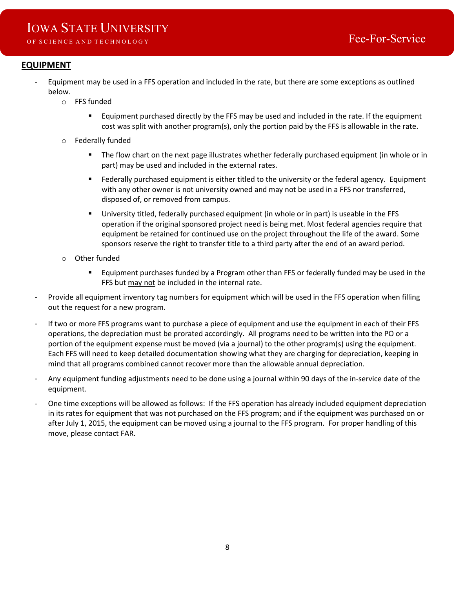# IOWA STATE UNIVERSITY

# **EQUIPMENT**

- Equipment may be used in a FFS operation and included in the rate, but there are some exceptions as outlined below.
	- o FFS funded
		- Equipment purchased directly by the FFS may be used and included in the rate. If the equipment cost was split with another program(s), only the portion paid by the FFS is allowable in the rate.
	- o Federally funded
		- The flow chart on the next page illustrates whether federally purchased equipment (in whole or in part) may be used and included in the external rates.
		- **Figure 2** Federally purchased equipment is either titled to the university or the federal agency. Equipment with any other owner is not university owned and may not be used in a FFS nor transferred, disposed of, or removed from campus.
		- University titled, federally purchased equipment (in whole or in part) is useable in the FFS operation if the original sponsored project need is being met. Most federal agencies require that equipment be retained for continued use on the project throughout the life of the award. Some sponsors reserve the right to transfer title to a third party after the end of an award period.
	- o Other funded
		- **Equipment purchases funded by a Program other than FFS or federally funded may be used in the** FFS but may not be included in the internal rate.
- Provide all equipment inventory tag numbers for equipment which will be used in the FFS operation when filling out the request for a new program.
- If two or more FFS programs want to purchase a piece of equipment and use the equipment in each of their FFS operations, the depreciation must be prorated accordingly. All programs need to be written into the PO or a portion of the equipment expense must be moved (via a journal) to the other program(s) using the equipment. Each FFS will need to keep detailed documentation showing what they are charging for depreciation, keeping in mind that all programs combined cannot recover more than the allowable annual depreciation.
- Any equipment funding adjustments need to be done using a journal within 90 days of the in-service date of the equipment.
- One time exceptions will be allowed as follows: If the FFS operation has already included equipment depreciation in its rates for equipment that was not purchased on the FFS program; and if the equipment was purchased on or after July 1, 2015, the equipment can be moved using a journal to the FFS program. For proper handling of this move, please contact FAR.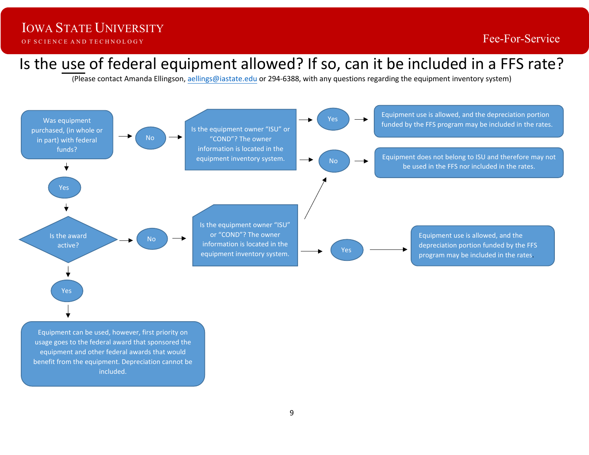# Is the use of federal equipment allowed? If so, can it be included in a FFS rate?

(Please contact Amanda Ellingson, aellings[@iastate.edu](mailto:twacha@iastate.edu) or 294-6388, with any questions regarding the equipment inventory system)



Equipment can be used, however, first priority on usage goes to the federal award that sponsored the equipment and other federal awards that would benefit from the equipment. Depreciation cannot be included.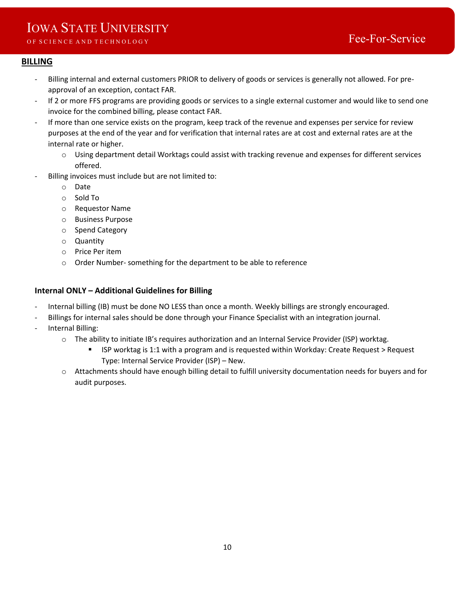# IOWA STATE UNIVERSITY

# **BILLING**

- Billing internal and external customers PRIOR to delivery of goods or services is generally not allowed. For preapproval of an exception, contact FAR.
- If 2 or more FFS programs are providing goods or services to a single external customer and would like to send one invoice for the combined billing, please contact FAR.
- If more than one service exists on the program, keep track of the revenue and expenses per service for review purposes at the end of the year and for verification that internal rates are at cost and external rates are at the internal rate or higher.
	- o Using department detail Worktags could assist with tracking revenue and expenses for different services offered.
- Billing invoices must include but are not limited to:
	- o Date
	- o Sold To
	- o Requestor Name
	- o Business Purpose
	- o Spend Category
	- o Quantity
	- o Price Per item
	- o Order Number- something for the department to be able to reference

### **Internal ONLY – Additional Guidelines for Billing**

- Internal billing (IB) must be done NO LESS than once a month. Weekly billings are strongly encouraged.
- Billings for internal sales should be done through your Finance Specialist with an integration journal.
- Internal Billing:
	- o The ability to initiate IB's requires authorization and an Internal Service Provider (ISP) worktag.
		- ISP worktag is 1:1 with a program and is requested within Workday: Create Request > Request Type: Internal Service Provider (ISP) – New.
	- o Attachments should have enough billing detail to fulfill university documentation needs for buyers and for audit purposes.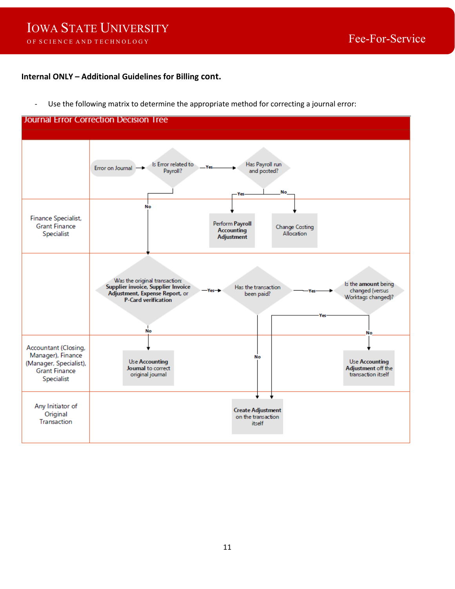#### **Internal ONLY – Additional Guidelines for Billing cont.**

- Use the following matrix to determine the appropriate method for correcting a journal error:

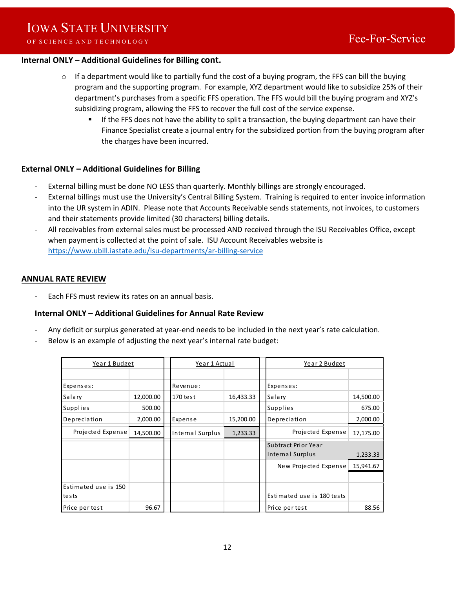### **Internal ONLY – Additional Guidelines for Billing cont.**

- o If a department would like to partially fund the cost of a buying program, the FFS can bill the buying program and the supporting program. For example, XYZ department would like to subsidize 25% of their department's purchases from a specific FFS operation. The FFS would bill the buying program and XYZ's subsidizing program, allowing the FFS to recover the full cost of the service expense.
	- If the FFS does not have the ability to split a transaction, the buying department can have their Finance Specialist create a journal entry for the subsidized portion from the buying program after the charges have been incurred.

### **External ONLY – Additional Guidelines for Billing**

- External billing must be done NO LESS than quarterly. Monthly billings are strongly encouraged.
- External billings must use the University's Central Billing System. Training is required to enter invoice information into the UR system in ADIN. Please note that Accounts Receivable sends statements, not invoices, to customers and their statements provide limited (30 characters) billing details.
- All receivables from external sales must be processed AND received through the ISU Receivables Office, except when payment is collected at the point of sale. ISU Account Receivables website is <https://www.ubill.iastate.edu/isu-departments/ar-billing-service>

### **ANNUAL RATE REVIEW**

Each FFS must review its rates on an annual basis.

### **Internal ONLY – Additional Guidelines for Annual Rate Review**

- Any deficit or surplus generated at year-end needs to be included in the next year's rate calculation.
- Below is an example of adjusting the next year's internal rate budget:

| Year 1 Budget                 |           | Year 1 Actual    |           | Year 2 Budget                           |           |
|-------------------------------|-----------|------------------|-----------|-----------------------------------------|-----------|
|                               |           |                  |           |                                         |           |
| Expenses:                     |           | Revenue:         |           | Expenses:                               |           |
| Salary                        | 12,000.00 | 170 test         | 16,433.33 | Salary                                  | 14,500.00 |
| <b>Supplies</b>               | 500.00    |                  |           | Supplies                                | 675.00    |
| Depreciation                  | 2,000.00  | Expense          | 15,200.00 | Depreciation                            | 2,000.00  |
| Projected Expense             | 14,500.00 | Internal Surplus | 1,233.33  | Projected Expense                       | 17,175.00 |
|                               |           |                  |           | Subtract Prior Year<br>Internal Surplus | 1,233.33  |
|                               |           |                  |           | New Projected Expense                   | 15,941.67 |
|                               |           |                  |           |                                         |           |
| Estimated use is 150<br>tests |           |                  |           | Estimated use is 180 tests              |           |
| Price per test                | 96.67     |                  |           | Price per test                          | 88.56     |